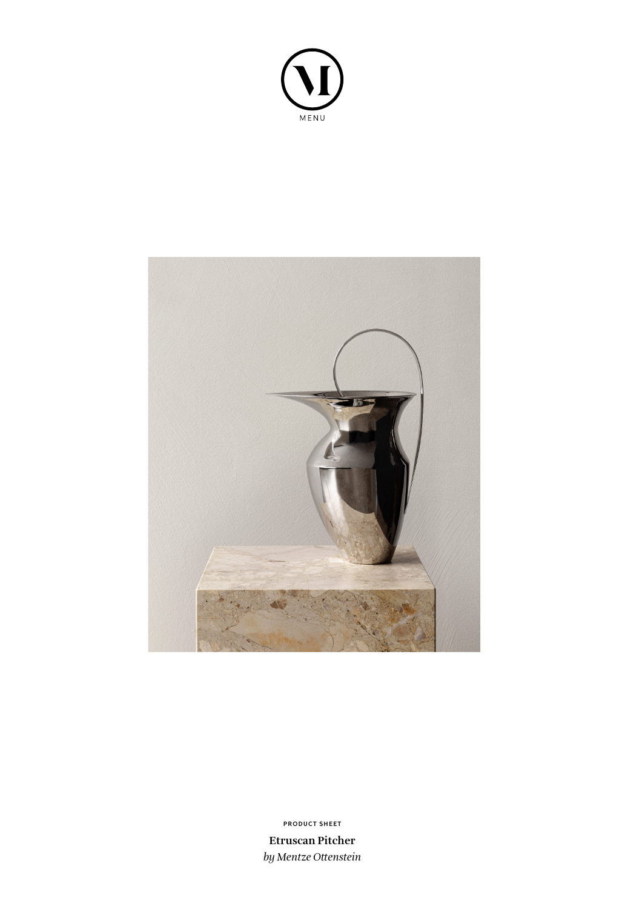



**PRODUCT SHEET**

**Etruscan Pitcher** *by Mentze Ottenstein*